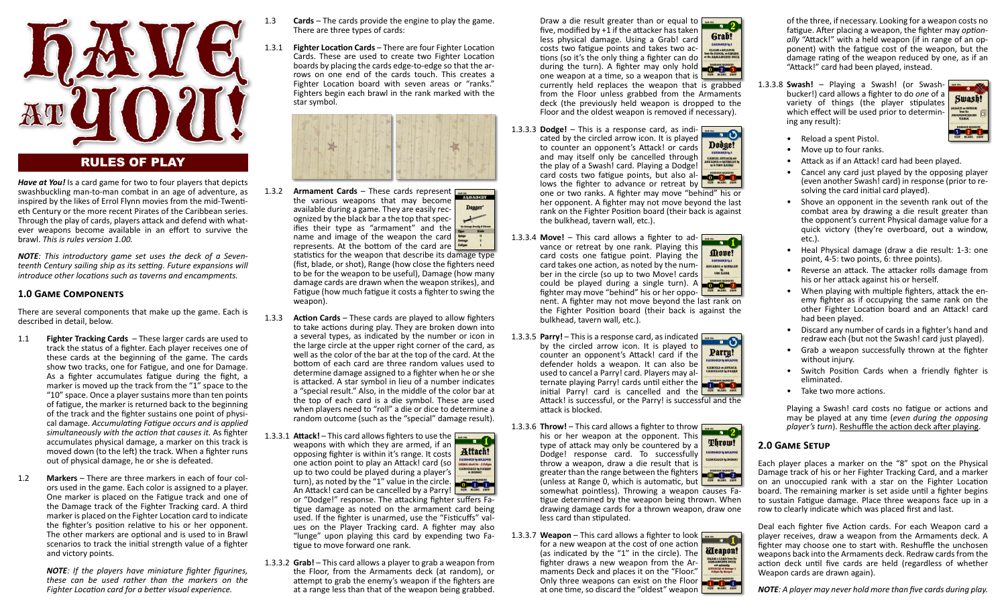

# RULES OF PLAY

*Have at You!* Is a card game for two to four players that depicts swashbuckling man-to-man combat in an age of adventure, as inspired by the likes of Errol Flynn movies from the mid-Twentieth Century or the more recent Pirates of the Caribbean series. Through the play of cards, players attack and defend with whatever weapons become available in an effort to survive the brawl. *This is rules version 1.00.*

*NOTE: This introductory game set uses the deck of a Seventeenth Century sailing ship as its setting. Future expansions will introduce other locations such as taverns and encampments.* 

## **1.0 GAME COMPONENTS**

There are several components that make up the game. Each is described in detail, below.

- 1.1 **Fighter Tracking Cards** These larger cards are used to track the status of a fighter. Each player receives one of these cards at the beginning of the game. The cards show two tracks, one for Fatigue, and one for Damage. As a fighter accumulates fatigue during the fight, a marker is moved up the track from the "1" space to the "10" space. Once a player sustains more than ten points of fatigue, the marker is returned back to the beginning of the track and the fighter sustains one point of physical damage. *Accumula�ng Fa�gue occurs and is applied simultaneously with the ac�on that causes it.* As fighter accumulates physical damage, a marker on this track is moved down (to the left) the track. When a fighter runs out of physical damage, he or she is defeated.
- 1.2 **Markers** There are three markers in each of four colors used in the game. Each color is assigned to a player. One marker is placed on the Fa�gue track and one of the Damage track of the Fighter Tracking card. A third marker is placed on the Fighter Location card to indicate the fighter's position relative to his or her opponent. The other markers are optional and is used to in Brawl scenarios to track the initial strength value of a fighter and victory points.

*NOTE: If the players have miniature fighter figurines, these can be used rather than the markers on the Fighter Location card for a better visual experience.* 

- 1.3 **Cards** The cards provide the engine to play the game. There are three types of cards:
- 1.3.1 **Fighter Location Cards** There are four Fighter Location Cards. These are used to create two Fighter Location boards by placing the cards edge-to-edge so that the arrows on one end of the cards touch. This creates a Fighter Location board with seven areas or "ranks." Fighters begin each brawl in the rank marked with the star symbol.



- 1.3.2 **Armament Cards** These cards represent \*su<br>AROAMEDE the various weapons that may become Dagger\* available during a game. They are easily recognized by the black bar a the top that spec-<br>ifies their type as "armament" and the ifies their type as "armament" and the Tuse Blake name and image of the weapon the card represents. At the bottom of the card are statistics for the weapon that describe its damage type (fist, blade, or shot), Range (how close the fighters need to be for the weapon to be useful), Damage (how many damage cards are drawn when the weapon strikes), and Fatigue (how much fatigue it costs a fighter to swing the weapon).
- 1.3.3 **Action Cards** These cards are played to allow fighters to take actions during play. They are broken down into a several types, as indicated by the number or icon in the large circle at the upper right corner of the card, as well as the color of the bar at the top of the card. At the bottom of each card are three random values used to determine damage assigned to a fighter when he or she is attacked. A star symbol in lieu of a number indicates a "special result." Also, in the middle of the color bar at the top of each card is a die symbol. These are used when players need to "roll" a die or dice to determine a random outcome (such as the "special" damage result).
- 1.3.3.1 **Attack!** This card allows fighters to use the weapons with which they are armed, if an opposing fighter is within it's range. It costs **Attach!** (Ticacd iy Meapod<br>Dec alea itr +2 Faliga<br>(Decleed iy Parry<br>(r Dodge) one action point to play an Attack! card (so up to two could be played during a player's turn), as noted by the "1" value in the circle. An Attack! card can be cancelled by a Parry! or "Dodge!" response. The attacking fighter suffers Fa-�gue damage as noted on the armament card being
	- used. If the fighter is unarmed, use the "Fisticuffs" values on the Player Tracking card. A fighter may also "lunge" upon playing this card by expending two Fa tigue to move forward one rank.
- 1.3.3.2 **Grab!** This card allows a player to grab a weapon from the Floor, from the Armaments deck (at random), or attempt to grab the enemy's weapon if the fighters are at a range less than that of the weapon being grabbed.

Draw a die result greater than or equal to five, modified by  $+1$  if the attacker has taken Grab! less physical damage. Using a Grab! card PATISHED In 2 costs two fatigue points and takes two ac-**CLAIM & MEAPOR**<br>from the FLOOR, an EREME<br>or the ARMAMERYS DEC tions (so it's the only thing a fighter can do during the turn). A fighter may only hold one weapon at a time, so a weapon that is currently held replaces the weapon that is grabbed from the Floor unless grabbed from the Armaments deck (the previously held weapon is dropped to the

Floor and the oldest weapon is removed if necessary).

1.3.3.3 **Dodge!** – This is a response card, as indi-**COLLEGE COLLEGE COLLEGE COLLEGE COLLEGE COLLEGE COLLEGE COLLEGE COLLEGE COLLEGE COLLEGE COLLEGE COLLEGE COLLEGE** cated by the circled arrow icon. It is played Dodge! to counter an opponent's Attack! or cards and may itself only be cancelled through **CARCEL ATTACH and**<br>DVARCE & RETREAT<br>BO THO RADKS the play of a Swash! card. Playing a Dodge! card costs two fa�gue points, but also allows the fighter to advance or retreat by one or two ranks. A fighter may move "behind" his or her opponent. A fighter may not move beyond the last rank on the Fighter Position board (their back is against the bulkhead, tavern wall, etc.).

- 1.3.3.4 **Move!** This card allows a fighter to ad-**THE REAL PROPERTY** vance or retreat by one rank. Playing this Move! card costs one fatigue point. Playing the PATISHED to 1 card takes one action, as noted by the num-**LDVARCE of RETREA**<br>US<br>ODE RARK ber in the circle (so up to two Move! cards could be played during a single turn). A fighter may move "behind" his or her opponent. A fighter may not move beyond the last rank on the Fighter Position board (their back is against the bulkhead, tavern wall, etc.).
- 1.3.3.5 **Parry!** This is a response card, as indicated by the circled arrow icon. It is played to Parry! counter an opponent's Attack! card if the defender holds a weapon. It can also be Cadcels & Avtack<br>|Adgelled & Parry used to cancel a Parry! card. Players may alternate playing Parry! cards until either the initial Parry! card is cancelled and the Attack! is successful, or the Parry! is successful and the attack is blocked.
- 1.3.3.6 **Throw!** This card allows a fighter to throw his or her weapon at the opponent. This Throw! type of attack may only be countered by a .<br>Fatigaed i<sub>n</sub> Meapol Dodge! response card. To successfully CARCELLED In DODGE throw a weapon, draw a die result that is greater than the range between the fighters (unless at Range 0, which is automatic, but  $\frac{1}{\sqrt{1-\frac{1}{2}}}\sum_{n=1}^{\infty}$ somewhat pointless). Throwing a weapon causes Fa tigue determined by the weapon being thrown. When drawing damage cards for a thrown weapon, draw one less card than stipulated.
- 1.3.3.7 **Weapon** This card allows a fighter to look for a new weapon at the cost of one action Weapon! (as indicated by the "1" in the circle). The DRAM & CARD from the<br>ARGAMERYS DECR<br>and splically<br>ATTACR at Damage-1<br>Feligne by ditepen fighter draws a new weapon from the Armaments Deck and places it on the "Floor."<br>Only three weapons can exist on the Floor Only three weapons can exist on the Floor at one time, so discard the "oldest" weapon

of the three, if necessary. Looking for a weapon costs no fatigue. After placing a weapon, the fighter may *optionally* "Attack!" with a held weapon (if in range of an opponent) with the fa�gue cost of the weapon, but the damage rating of the weapon reduced by one, as if an "Attack!" card had been played, instead.

1.3.3.8 **Swash!** – Playing a Swash! (or Swashbucker!) card allows a fighter to do *one* of a variety of things (the player stipulates which effect will be used prior to determining any result):



- Reload a spent Pistol.
- Move up to four ranks.
- Attack as if an Attack! card had been played.
- Cancel any card just played by the opposing player (even another Swash! card) in response (prior to resolving the card initial card played).
- Shove an opponent in the seventh rank out of the combat area by drawing a die result greater than the opponent's current Physical damage value for a quick victory (they're overboard, out a window, etc.).
- Heal Physical damage (draw a die result: 1-3: one point, 4-5: two points, 6: three points).
- Reverse an attack. The attacker rolls damage from his or her attack against his or herself.
- When playing with multiple fighters, attack the enemy fighter as if occupying the same rank on the other Fighter Location board and an Attack! card had been played.
- Discard any number of cards in a fighter's hand and redraw each (but not the Swash! card just played).
- Grab a weapon successfully thrown at the fighter without injury.
- Switch Position Cards when a friendly fighter is eliminated.
- Take two more actions.

Playing a Swash! card costs no fatigue or actions and may be played at any time (*even during the opposing player's turn*). Reshuffle the action deck after playing.

#### **2.0 GAME SETUP**

Each player places a marker on the "8" spot on the Physical Damage track of his or her Fighter Tracking Card, and a marker on an unoccupied rank with a star on the Fighter Location board. The remaining marker is set aside until a fighter begins to sustain Fa�gue damage. Place three weapons face up in a row to clearly indicate which was placed first and last.

Deal each fighter five Action cards. For each Weapon card a player receives, draw a weapon from the Armaments deck. A fighter may choose one to start with. Reshuffle the unchosen weapons back into the Armaments deck. Redraw cards from the action deck until five cards are held (regardless of whether Weapon cards are drawn again).

*NOTE: A player may never hold more than five cards during play.*